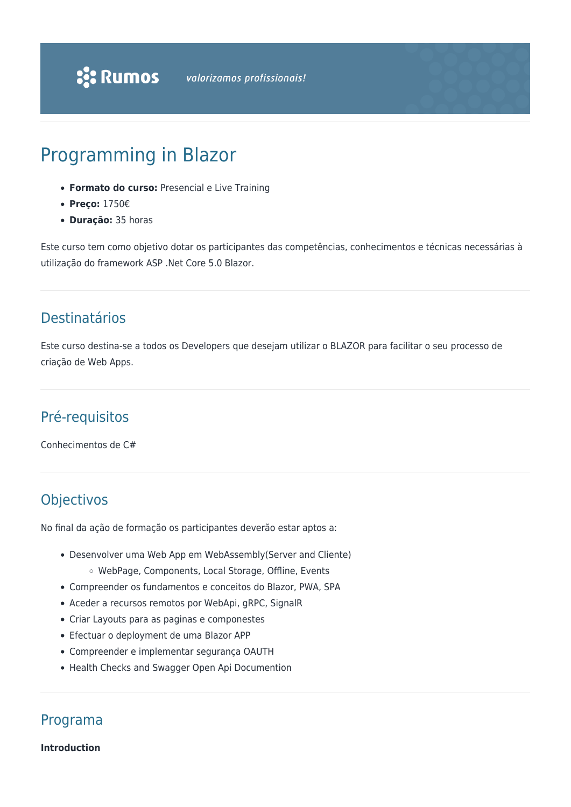# Programming in Blazor

- **Formato do curso:** Presencial e Live Training
- **Preço:** 1750€
- **Duração:** 35 horas

Este curso tem como objetivo dotar os participantes das competências, conhecimentos e técnicas necessárias à utilização do framework ASP .Net Core 5.0 Blazor.

# Destinatários

Este curso destina-se a todos os Developers que desejam utilizar o BLAZOR para facilitar o seu processo de criação de Web Apps.

# Pré-requisitos

Conhecimentos de C#

# Objectivos

No final da ação de formação os participantes deverão estar aptos a:

- Desenvolver uma Web App em WebAssembly(Server and Cliente)
	- o WebPage, Components, Local Storage, Offline, Events
- Compreender os fundamentos e conceitos do Blazor, PWA, SPA
- Aceder a recursos remotos por WebApi, gRPC, SignalR
- Criar Layouts para as paginas e componestes
- Efectuar o deployment de uma Blazor APP
- Compreender e implementar segurança OAUTH
- Health Checks and Swagger Open Api Documention

Programa

**Introduction**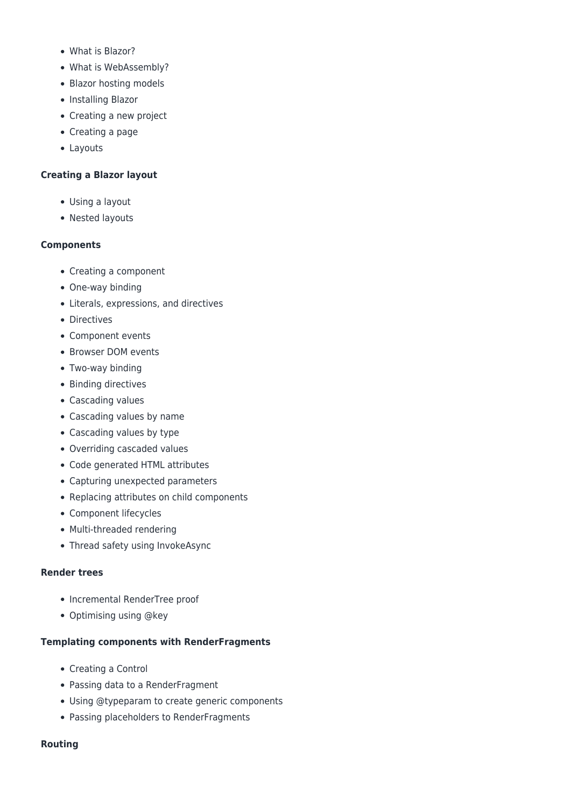- What is Blazor?
- What is WebAssembly?
- Blazor hosting models
- Installing Blazor
- Creating a new project
- Creating a page
- Layouts

# **Creating a Blazor layout**

- Using a layout
- Nested layouts

# **Components**

- Creating a component
- One-way binding
- Literals, expressions, and directives
- Directives
- Component events
- Browser DOM events
- Two-way binding
- Binding directives
- Cascading values
- Cascading values by name
- Cascading values by type
- Overriding cascaded values
- Code generated HTML attributes
- Capturing unexpected parameters
- Replacing attributes on child components
- Component lifecycles
- Multi-threaded rendering
- Thread safety using InvokeAsync

# **Render trees**

- Incremental RenderTree proof
- Optimising using @key

# **Templating components with RenderFragments**

- Creating a Control
- Passing data to a RenderFragment
- Using @typeparam to create generic components
- Passing placeholders to RenderFragments

# **Routing**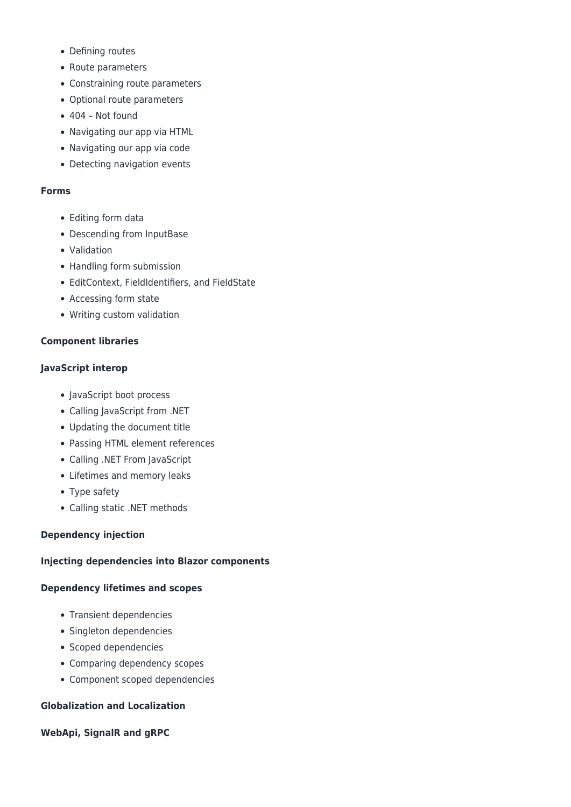- Defining routes
- Route parameters
- Constraining route parameters
- Optional route parameters
- $\bullet$  404 Not found
- Navigating our app via HTML
- Navigating our app via code
- Detecting navigation events

#### **Forms**

- Editing form data
- Descending from InputBase
- Validation
- Handling form submission
- EditContext, FieldIdentifiers, and FieldState
- Accessing form state
- Writing custom validation

# **Component libraries**

# **JavaScript interop**

- JavaScript boot process
- Calling JavaScript from .NET
- Updating the document title
- Passing HTML element references
- Calling .NET From JavaScript
- Lifetimes and memory leaks
- Type safety
- Calling static .NET methods

# **Dependency injection**

# **Injecting dependencies into Blazor components**

# **Dependency lifetimes and scopes**

- Transient dependencies
- Singleton dependencies
- Scoped dependencies
- Comparing dependency scopes
- Component scoped dependencies

# **Globalization and Localization**

# **WebApi, SignalR and gRPC**